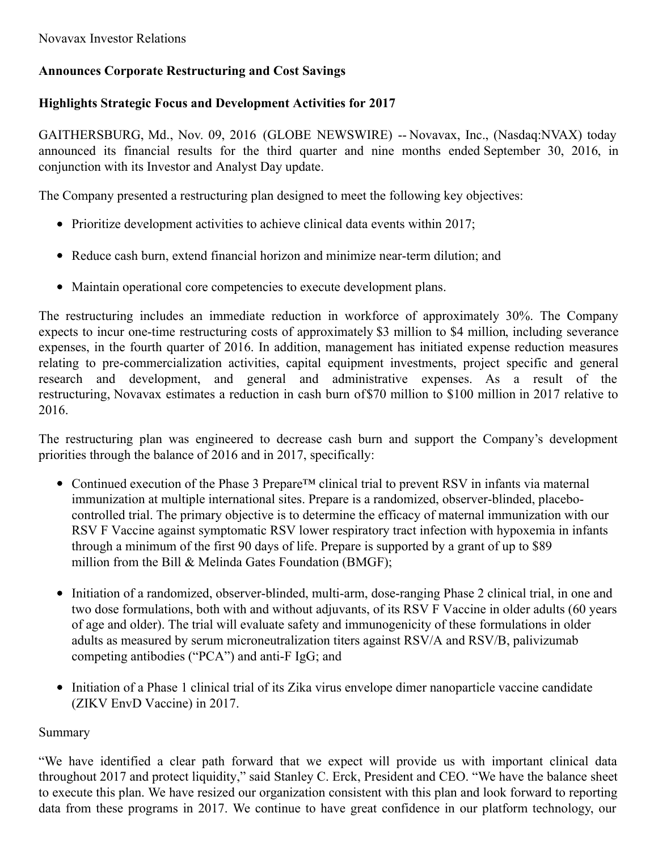# **Announces Corporate Restructuring and Cost Savings**

# **Highlights Strategic Focus and Development Activities for 2017**

GAITHERSBURG, Md., Nov. 09, 2016 (GLOBE NEWSWIRE) -- Novavax, Inc., (Nasdaq:NVAX) today announced its financial results for the third quarter and nine months ended September 30, 2016, in conjunction with its Investor and Analyst Day update.

The Company presented a restructuring plan designed to meet the following key objectives:

- Prioritize development activities to achieve clinical data events within 2017;
- Reduce cash burn, extend financial horizon and minimize near-term dilution; and
- Maintain operational core competencies to execute development plans.

The restructuring includes an immediate reduction in workforce of approximately 30%. The Company expects to incur one-time restructuring costs of approximately \$3 million to \$4 million, including severance expenses, in the fourth quarter of 2016. In addition, management has initiated expense reduction measures relating to pre-commercialization activities, capital equipment investments, project specific and general research and development, and general and administrative expenses. As a result of the restructuring, Novavax estimates a reduction in cash burn of\$70 million to \$100 million in 2017 relative to 2016.

The restructuring plan was engineered to decrease cash burn and support the Company's development priorities through the balance of 2016 and in 2017, specifically:

- Continued execution of the Phase 3 Prepare™ clinical trial to prevent RSV in infants via maternal immunization at multiple international sites. Prepare is a randomized, observer-blinded, placebocontrolled trial. The primary objective is to determine the efficacy of maternal immunization with our RSV F Vaccine against symptomatic RSV lower respiratory tract infection with hypoxemia in infants through a minimum of the first 90 days of life. Prepare is supported by a grant of up to \$89 million from the Bill & Melinda Gates Foundation (BMGF);
- Initiation of a randomized, observer-blinded, multi-arm, dose-ranging Phase 2 clinical trial, in one and two dose formulations, both with and without adjuvants, of its RSV F Vaccine in older adults (60 years of age and older). The trial will evaluate safety and immunogenicity of these formulations in older adults as measured by serum microneutralization titers against RSV/A and RSV/B, palivizumab competing antibodies ("PCA") and anti-F IgG; and
- Initiation of a Phase 1 clinical trial of its Zika virus envelope dimer nanoparticle vaccine candidate (ZIKV EnvD Vaccine) in 2017.

# Summary

"We have identified a clear path forward that we expect will provide us with important clinical data throughout 2017 and protect liquidity," said Stanley C. Erck, President and CEO. "We have the balance sheet to execute this plan. We have resized our organization consistent with this plan and look forward to reporting data from these programs in 2017. We continue to have great confidence in our platform technology, our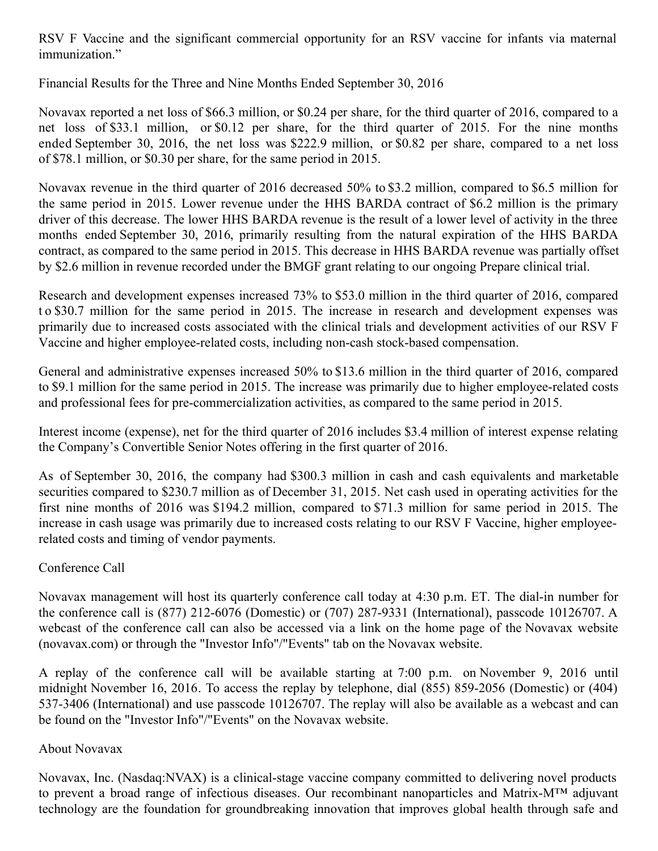RSV F Vaccine and the significant commercial opportunity for an RSV vaccine for infants via maternal immunization."

Financial Results for the Three and Nine Months Ended September 30, 2016

Novavax reported a net loss of \$66.3 million, or \$0.24 per share, for the third quarter of 2016, compared to a net loss of \$33.1 million, or \$0.12 per share, for the third quarter of 2015. For the nine months ended September 30, 2016, the net loss was \$222.9 million, or \$0.82 per share, compared to a net loss of \$78.1 million, or \$0.30 per share, for the same period in 2015.

Novavax revenue in the third quarter of 2016 decreased 50% to \$3.2 million, compared to \$6.5 million for the same period in 2015. Lower revenue under the HHS BARDA contract of \$6.2 million is the primary driver of this decrease. The lower HHS BARDA revenue is the result of a lower level of activity in the three months ended September 30, 2016, primarily resulting from the natural expiration of the HHS BARDA contract, as compared to the same period in 2015. This decrease in HHS BARDA revenue was partially offset by \$2.6 million in revenue recorded under the BMGF grant relating to our ongoing Prepare clinical trial.

Research and development expenses increased 73% to \$53.0 million in the third quarter of 2016, compared t o \$30.7 million for the same period in 2015. The increase in research and development expenses was primarily due to increased costs associated with the clinical trials and development activities of our RSV F Vaccine and higher employee-related costs, including non-cash stock-based compensation.

General and administrative expenses increased 50% to \$13.6 million in the third quarter of 2016, compared to \$9.1 million for the same period in 2015. The increase was primarily due to higher employee-related costs and professional fees for pre-commercialization activities, as compared to the same period in 2015.

Interest income (expense), net for the third quarter of 2016 includes \$3.4 million of interest expense relating the Company's Convertible Senior Notes offering in the first quarter of 2016.

As of September 30, 2016, the company had \$300.3 million in cash and cash equivalents and marketable securities compared to \$230.7 million as of December 31, 2015. Net cash used in operating activities for the first nine months of 2016 was \$194.2 million, compared to \$71.3 million for same period in 2015. The increase in cash usage was primarily due to increased costs relating to our RSV F Vaccine, higher employeerelated costs and timing of vendor payments.

## Conference Call

Novavax management will host its quarterly conference call today at 4:30 p.m. ET. The dial-in number for the conference call is (877) 212-6076 (Domestic) or (707) 287-9331 (International), passcode 10126707. A webcast of the conference call can also be accessed via a link on the home page of the Novavax website (novavax.com) or through the "Investor Info"/"Events" tab on the Novavax website.

A replay of the conference call will be available starting at 7:00 p.m. on November 9, 2016 until midnight November 16, 2016. To access the replay by telephone, dial (855) 859-2056 (Domestic) or (404) 537-3406 (International) and use passcode 10126707. The replay will also be available as a webcast and can be found on the "Investor Info"/"Events" on the Novavax website.

## About Novavax

Novavax, Inc. (Nasdaq:NVAX) is a clinical-stage vaccine company committed to delivering novel products to prevent a broad range of infectious diseases. Our recombinant nanoparticles and Matrix-M™ adjuvant technology are the foundation for groundbreaking innovation that improves global health through safe and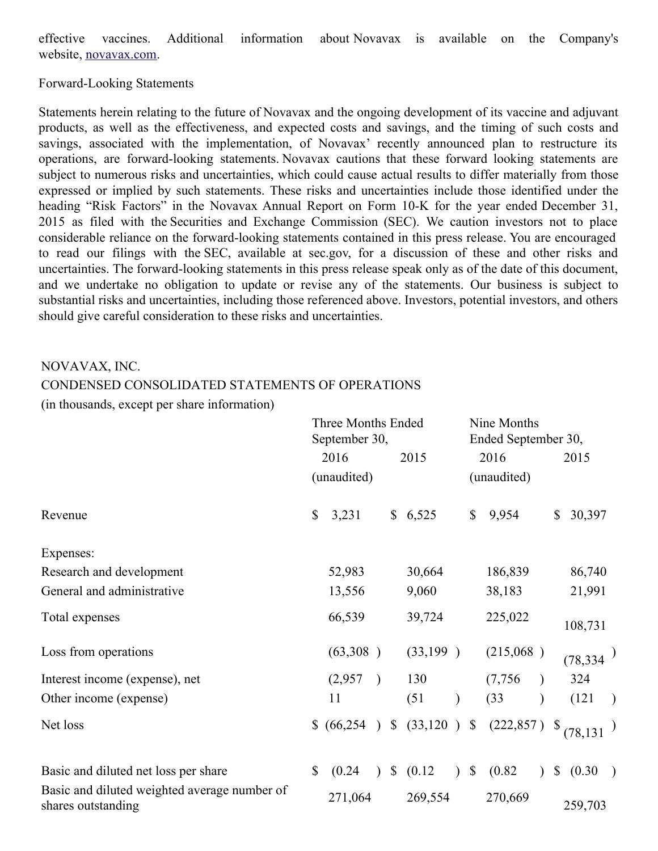effective vaccines. Additional information about Novavax is available on the Company's website, [novavax.com](https://www.globenewswire.com/Tracker?data=ZLSXuyamdzTQFDSCROySRejJ6Zmi-EgIlaM-GTHTFKJlZlX9CkgoK1AQmYjboa1G_1vcvlPIlTrijJ4TxcJ_vA==).

Forward-Looking Statements

Statements herein relating to the future of Novavax and the ongoing development of its vaccine and adjuvant products, as well as the effectiveness, and expected costs and savings, and the timing of such costs and savings, associated with the implementation, of Novavax' recently announced plan to restructure its operations, are forward-looking statements. Novavax cautions that these forward looking statements are subject to numerous risks and uncertainties, which could cause actual results to differ materially from those expressed or implied by such statements. These risks and uncertainties include those identified under the heading "Risk Factors" in the Novavax Annual Report on Form 10-K for the year ended December 31, 2015 as filed with the Securities and Exchange Commission (SEC). We caution investors not to place considerable reliance on the forward-looking statements contained in this press release. You are encouraged to read our filings with the SEC, available at sec.gov, for a discussion of these and other risks and uncertainties. The forward-looking statements in this press release speak only as of the date of this document, and we undertake no obligation to update or revise any of the statements. Our business is subject to substantial risks and uncertainties, including those referenced above. Investors, potential investors, and others should give careful consideration to these risks and uncertainties.

### NOVAVAX, INC.

#### CONDENSED CONSOLIDATED STATEMENTS OF OPERATIONS

(in thousands, except per share information)

|                                                                    | <b>Three Months Ended</b><br>September 30, |             |               |    |                 |           | Nine Months<br>Ended September 30, |                |               |                        |               |
|--------------------------------------------------------------------|--------------------------------------------|-------------|---------------|----|-----------------|-----------|------------------------------------|----------------|---------------|------------------------|---------------|
|                                                                    |                                            | 2016        |               |    | 2015            |           |                                    | 2016           |               | 2015                   |               |
|                                                                    |                                            | (unaudited) |               |    |                 |           |                                    | (unaudited)    |               |                        |               |
| Revenue                                                            | \$                                         | 3,231       |               |    | \$6,525         |           | $\mathbb{S}$                       | 9,954          |               | 30,397<br>$\mathbb{S}$ |               |
| Expenses:                                                          |                                            |             |               |    |                 |           |                                    |                |               |                        |               |
| Research and development                                           |                                            | 52,983      |               |    | 30,664          |           |                                    | 186,839        |               | 86,740                 |               |
| General and administrative                                         |                                            | 13,556      |               |    | 9,060           |           |                                    | 38,183         |               | 21,991                 |               |
| Total expenses                                                     |                                            | 66,539      |               |    | 39,724          |           |                                    | 225,022        |               | 108,731                |               |
| Loss from operations                                               |                                            | (63,308)    |               |    | (33,199)        |           |                                    | (215,068)      |               | (78,334)               |               |
| Interest income (expense), net                                     |                                            | (2,957)     | $\rightarrow$ |    | 130             |           |                                    | (7,756)        |               | 324                    |               |
| Other income (expense)                                             |                                            | 11          |               |    | (51)            |           |                                    | (33)           |               | (121)                  | $\rightarrow$ |
| Net loss                                                           |                                            | \$ (66,254) | $\sum$        |    | \$ (33,120 ) \$ |           |                                    | $(222,857)$ \$ |               | (78, 131)              |               |
| Basic and diluted net loss per share                               | $\mathbb{S}$                               | (0.24)      |               | \$ | (0.12)          | $\lambda$ | $\boldsymbol{\mathsf{S}}$          | (0.82)         | $\mathcal{L}$ | $\mathbb{S}$<br>(0.30) |               |
| Basic and diluted weighted average number of<br>shares outstanding |                                            | 271,064     |               |    | 269,554         |           |                                    | 270,669        |               | 259,703                |               |